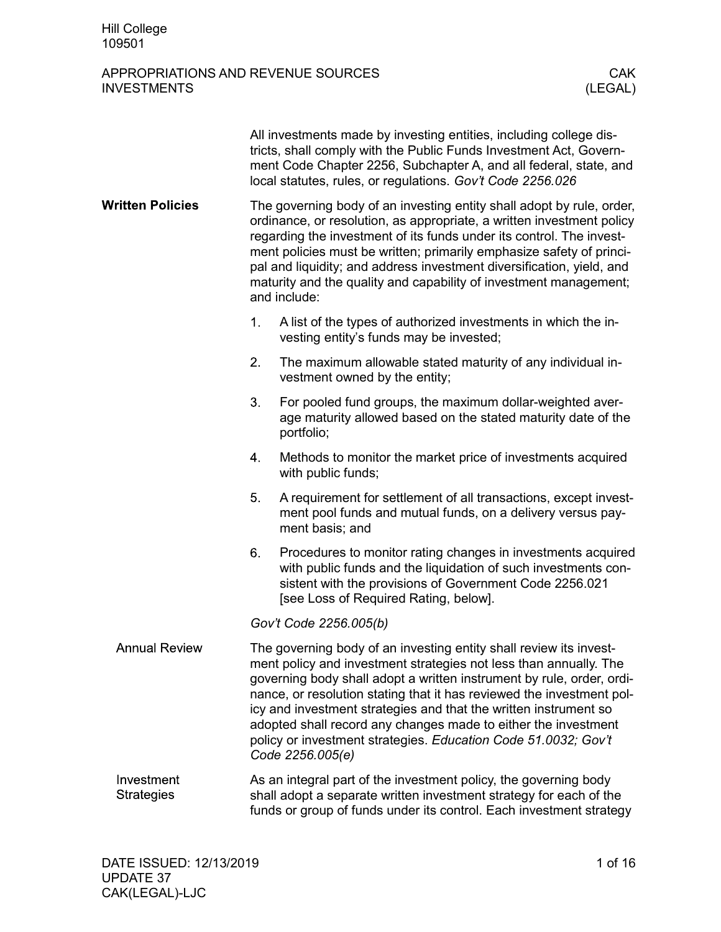### APPROPRIATIONS AND REVENUE SOURCES THE CARRY CONSTRUCTS CAN CARRY CONSTRUCTS ON A CARRY CONSTRUCT ON A CLEGAL) **INVESTMENTS**

|                                 | All investments made by investing entities, including college dis-<br>tricts, shall comply with the Public Funds Investment Act, Govern-<br>ment Code Chapter 2256, Subchapter A, and all federal, state, and<br>local statutes, rules, or regulations. Gov't Code 2256.026                                                                                                                                                                                                                                           |  |  |  |
|---------------------------------|-----------------------------------------------------------------------------------------------------------------------------------------------------------------------------------------------------------------------------------------------------------------------------------------------------------------------------------------------------------------------------------------------------------------------------------------------------------------------------------------------------------------------|--|--|--|
| <b>Written Policies</b>         | The governing body of an investing entity shall adopt by rule, order,<br>ordinance, or resolution, as appropriate, a written investment policy<br>regarding the investment of its funds under its control. The invest-<br>ment policies must be written; primarily emphasize safety of princi-<br>pal and liquidity; and address investment diversification, yield, and<br>maturity and the quality and capability of investment management;<br>and include:                                                          |  |  |  |
|                                 | 1.<br>A list of the types of authorized investments in which the in-<br>vesting entity's funds may be invested;                                                                                                                                                                                                                                                                                                                                                                                                       |  |  |  |
|                                 | 2.<br>The maximum allowable stated maturity of any individual in-<br>vestment owned by the entity;                                                                                                                                                                                                                                                                                                                                                                                                                    |  |  |  |
|                                 | 3.<br>For pooled fund groups, the maximum dollar-weighted aver-<br>age maturity allowed based on the stated maturity date of the<br>portfolio;                                                                                                                                                                                                                                                                                                                                                                        |  |  |  |
|                                 | 4.<br>Methods to monitor the market price of investments acquired<br>with public funds;                                                                                                                                                                                                                                                                                                                                                                                                                               |  |  |  |
|                                 | 5.<br>A requirement for settlement of all transactions, except invest-<br>ment pool funds and mutual funds, on a delivery versus pay-<br>ment basis; and                                                                                                                                                                                                                                                                                                                                                              |  |  |  |
|                                 | 6.<br>Procedures to monitor rating changes in investments acquired<br>with public funds and the liquidation of such investments con-<br>sistent with the provisions of Government Code 2256.021<br>[see Loss of Required Rating, below].                                                                                                                                                                                                                                                                              |  |  |  |
|                                 | Gov't Code 2256.005(b)                                                                                                                                                                                                                                                                                                                                                                                                                                                                                                |  |  |  |
| <b>Annual Review</b>            | The governing body of an investing entity shall review its invest-<br>ment policy and investment strategies not less than annually. The<br>governing body shall adopt a written instrument by rule, order, ordi-<br>nance, or resolution stating that it has reviewed the investment pol-<br>icy and investment strategies and that the written instrument so<br>adopted shall record any changes made to either the investment<br>policy or investment strategies. Education Code 51.0032; Gov't<br>Code 2256.005(e) |  |  |  |
| Investment<br><b>Strategies</b> | As an integral part of the investment policy, the governing body<br>shall adopt a separate written investment strategy for each of the<br>funds or group of funds under its control. Each investment strategy                                                                                                                                                                                                                                                                                                         |  |  |  |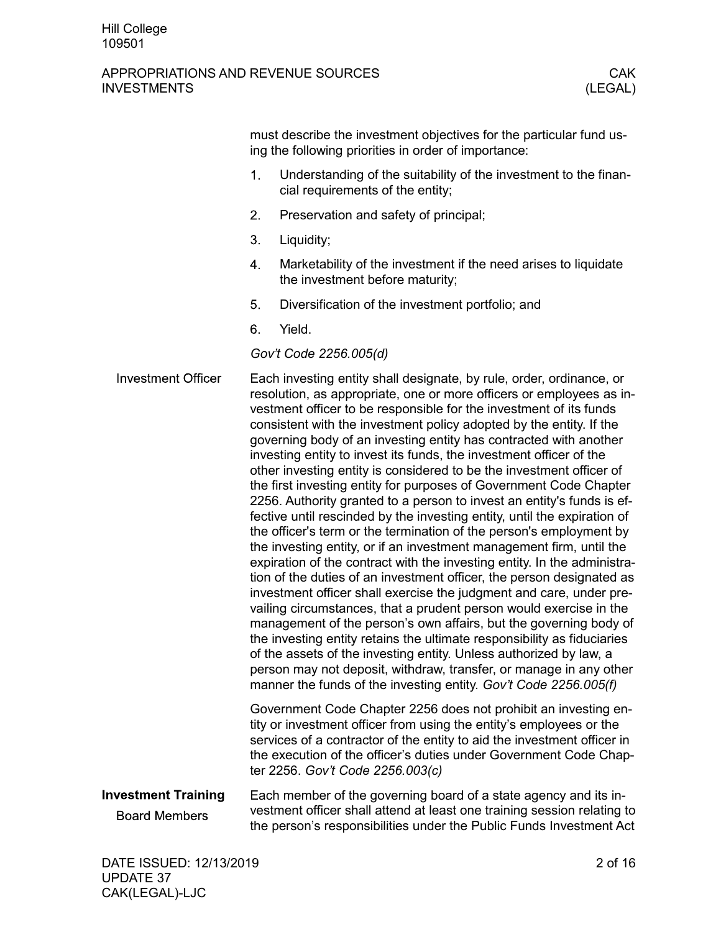|                                                    |    | must describe the investment objectives for the particular fund us-<br>ing the following priorities in order of importance:                                                                                                                                                                                                                                                                                                                                                                                                                                                                                                                                                                                                                                                                                                                                                                                                                                                                                                                                                                                                                                                                                                                                                                                                                                                                                                                                                                                                                                |
|----------------------------------------------------|----|------------------------------------------------------------------------------------------------------------------------------------------------------------------------------------------------------------------------------------------------------------------------------------------------------------------------------------------------------------------------------------------------------------------------------------------------------------------------------------------------------------------------------------------------------------------------------------------------------------------------------------------------------------------------------------------------------------------------------------------------------------------------------------------------------------------------------------------------------------------------------------------------------------------------------------------------------------------------------------------------------------------------------------------------------------------------------------------------------------------------------------------------------------------------------------------------------------------------------------------------------------------------------------------------------------------------------------------------------------------------------------------------------------------------------------------------------------------------------------------------------------------------------------------------------------|
|                                                    | 1. | Understanding of the suitability of the investment to the finan-<br>cial requirements of the entity;                                                                                                                                                                                                                                                                                                                                                                                                                                                                                                                                                                                                                                                                                                                                                                                                                                                                                                                                                                                                                                                                                                                                                                                                                                                                                                                                                                                                                                                       |
|                                                    | 2. | Preservation and safety of principal;                                                                                                                                                                                                                                                                                                                                                                                                                                                                                                                                                                                                                                                                                                                                                                                                                                                                                                                                                                                                                                                                                                                                                                                                                                                                                                                                                                                                                                                                                                                      |
|                                                    | 3. | Liquidity;                                                                                                                                                                                                                                                                                                                                                                                                                                                                                                                                                                                                                                                                                                                                                                                                                                                                                                                                                                                                                                                                                                                                                                                                                                                                                                                                                                                                                                                                                                                                                 |
|                                                    | 4. | Marketability of the investment if the need arises to liquidate<br>the investment before maturity;                                                                                                                                                                                                                                                                                                                                                                                                                                                                                                                                                                                                                                                                                                                                                                                                                                                                                                                                                                                                                                                                                                                                                                                                                                                                                                                                                                                                                                                         |
|                                                    | 5. | Diversification of the investment portfolio; and                                                                                                                                                                                                                                                                                                                                                                                                                                                                                                                                                                                                                                                                                                                                                                                                                                                                                                                                                                                                                                                                                                                                                                                                                                                                                                                                                                                                                                                                                                           |
|                                                    | 6. | Yield.                                                                                                                                                                                                                                                                                                                                                                                                                                                                                                                                                                                                                                                                                                                                                                                                                                                                                                                                                                                                                                                                                                                                                                                                                                                                                                                                                                                                                                                                                                                                                     |
|                                                    |    | Gov't Code 2256.005(d)                                                                                                                                                                                                                                                                                                                                                                                                                                                                                                                                                                                                                                                                                                                                                                                                                                                                                                                                                                                                                                                                                                                                                                                                                                                                                                                                                                                                                                                                                                                                     |
| <b>Investment Officer</b>                          |    | Each investing entity shall designate, by rule, order, ordinance, or<br>resolution, as appropriate, one or more officers or employees as in-<br>vestment officer to be responsible for the investment of its funds<br>consistent with the investment policy adopted by the entity. If the<br>governing body of an investing entity has contracted with another<br>investing entity to invest its funds, the investment officer of the<br>other investing entity is considered to be the investment officer of<br>the first investing entity for purposes of Government Code Chapter<br>2256. Authority granted to a person to invest an entity's funds is ef-<br>fective until rescinded by the investing entity, until the expiration of<br>the officer's term or the termination of the person's employment by<br>the investing entity, or if an investment management firm, until the<br>expiration of the contract with the investing entity. In the administra-<br>tion of the duties of an investment officer, the person designated as<br>investment officer shall exercise the judgment and care, under pre-<br>vailing circumstances, that a prudent person would exercise in the<br>management of the person's own affairs, but the governing body of<br>the investing entity retains the ultimate responsibility as fiduciaries<br>of the assets of the investing entity. Unless authorized by law, a<br>person may not deposit, withdraw, transfer, or manage in any other<br>manner the funds of the investing entity. Gov't Code 2256.005(f) |
|                                                    |    | Government Code Chapter 2256 does not prohibit an investing en-<br>tity or investment officer from using the entity's employees or the<br>services of a contractor of the entity to aid the investment officer in<br>the execution of the officer's duties under Government Code Chap-<br>ter 2256. Gov't Code 2256.003(c)                                                                                                                                                                                                                                                                                                                                                                                                                                                                                                                                                                                                                                                                                                                                                                                                                                                                                                                                                                                                                                                                                                                                                                                                                                 |
| <b>Investment Training</b><br><b>Board Members</b> |    | Each member of the governing board of a state agency and its in-<br>vestment officer shall attend at least one training session relating to<br>the person's responsibilities under the Public Funds Investment Act                                                                                                                                                                                                                                                                                                                                                                                                                                                                                                                                                                                                                                                                                                                                                                                                                                                                                                                                                                                                                                                                                                                                                                                                                                                                                                                                         |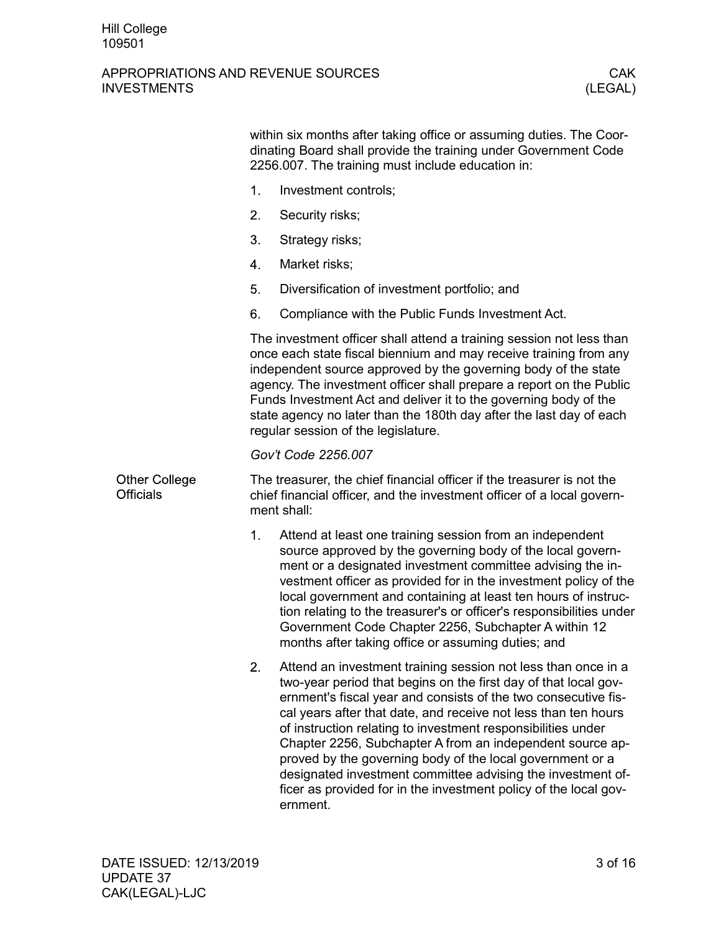|                                          | within six months after taking office or assuming duties. The Coor-<br>dinating Board shall provide the training under Government Code<br>2256.007. The training must include education in:                                                                                                                                                                                                                                                                                                                                                                                                                         |  |  |  |  |
|------------------------------------------|---------------------------------------------------------------------------------------------------------------------------------------------------------------------------------------------------------------------------------------------------------------------------------------------------------------------------------------------------------------------------------------------------------------------------------------------------------------------------------------------------------------------------------------------------------------------------------------------------------------------|--|--|--|--|
|                                          | 1.<br>Investment controls;                                                                                                                                                                                                                                                                                                                                                                                                                                                                                                                                                                                          |  |  |  |  |
|                                          | 2.<br>Security risks;                                                                                                                                                                                                                                                                                                                                                                                                                                                                                                                                                                                               |  |  |  |  |
|                                          | 3.<br>Strategy risks;                                                                                                                                                                                                                                                                                                                                                                                                                                                                                                                                                                                               |  |  |  |  |
|                                          | 4.<br>Market risks;                                                                                                                                                                                                                                                                                                                                                                                                                                                                                                                                                                                                 |  |  |  |  |
|                                          | 5.<br>Diversification of investment portfolio; and                                                                                                                                                                                                                                                                                                                                                                                                                                                                                                                                                                  |  |  |  |  |
|                                          | 6.<br>Compliance with the Public Funds Investment Act.                                                                                                                                                                                                                                                                                                                                                                                                                                                                                                                                                              |  |  |  |  |
|                                          | The investment officer shall attend a training session not less than<br>once each state fiscal biennium and may receive training from any<br>independent source approved by the governing body of the state<br>agency. The investment officer shall prepare a report on the Public<br>Funds Investment Act and deliver it to the governing body of the<br>state agency no later than the 180th day after the last day of each<br>regular session of the legislature.                                                                                                                                                |  |  |  |  |
|                                          | Gov't Code 2256.007                                                                                                                                                                                                                                                                                                                                                                                                                                                                                                                                                                                                 |  |  |  |  |
| <b>Other College</b><br><b>Officials</b> | The treasurer, the chief financial officer if the treasurer is not the<br>chief financial officer, and the investment officer of a local govern-<br>ment shall:                                                                                                                                                                                                                                                                                                                                                                                                                                                     |  |  |  |  |
|                                          | 1.<br>Attend at least one training session from an independent<br>source approved by the governing body of the local govern-<br>ment or a designated investment committee advising the in-<br>vestment officer as provided for in the investment policy of the<br>local government and containing at least ten hours of instruc-<br>tion relating to the treasurer's or officer's responsibilities under<br>Government Code Chapter 2256, Subchapter A within 12<br>months after taking office or assuming duties; and                                                                                              |  |  |  |  |
|                                          | 2.<br>Attend an investment training session not less than once in a<br>two-year period that begins on the first day of that local gov-<br>ernment's fiscal year and consists of the two consecutive fis-<br>cal years after that date, and receive not less than ten hours<br>of instruction relating to investment responsibilities under<br>Chapter 2256, Subchapter A from an independent source ap-<br>proved by the governing body of the local government or a<br>designated investment committee advising the investment of-<br>ficer as provided for in the investment policy of the local gov-<br>ernment. |  |  |  |  |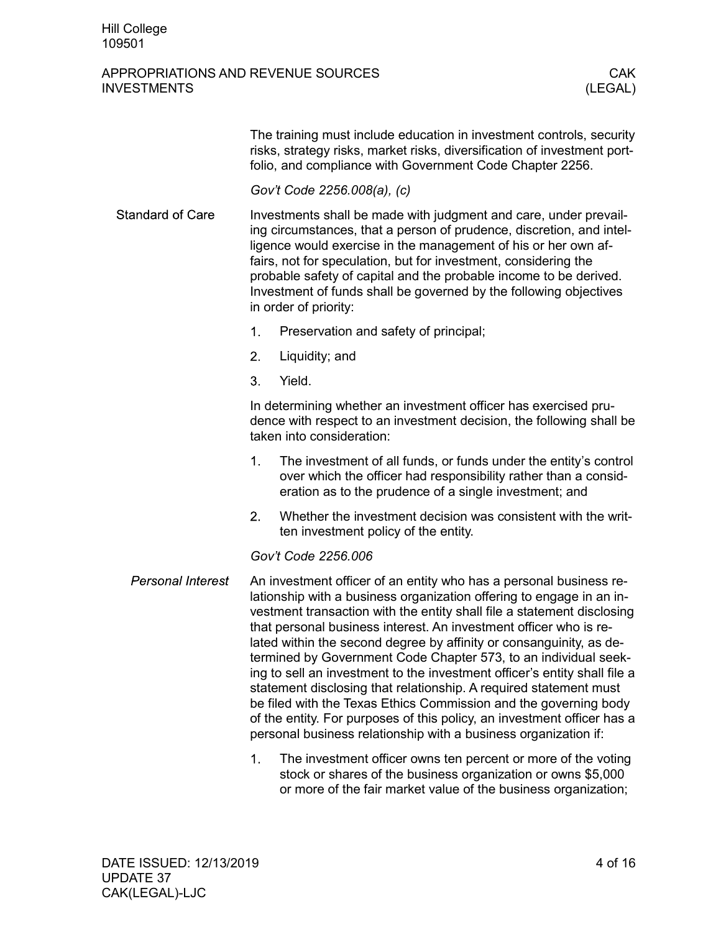### APPROPRIATIONS AND REVENUE SOURCES AND CAKE CAKE A LOCAL CAKE CAKE A LOCAL CAKE A LOCAL CAKE CAKE A LOCAL CAKE INVESTMENTS (LEGAL)

The training must include education in investment controls, security risks, strategy risks, market risks, diversification of investment portfolio, and compliance with Government Code Chapter 2256.

*Gov't Code 2256.008(a), (c)*

- **Standard of Care** Investments shall be made with judgment and care, under prevailing circumstances, that a person of prudence, discretion, and intelligence would exercise in the management of his or her own affairs, not for speculation, but for investment, considering the probable safety of capital and the probable income to be derived. Investment of funds shall be governed by the following objectives in order of priority:
	- $1.$ Preservation and safety of principal;
	- $2.$ Liquidity; and
	- 3. Yield.

In determining whether an investment officer has exercised prudence with respect to an investment decision, the following shall be taken into consideration:

- The investment of all funds, or funds under the entity's control  $1<sup>1</sup>$ over which the officer had responsibility rather than a consideration as to the prudence of a single investment; and
- $2.$ Whether the investment decision was consistent with the written investment policy of the entity.

#### *Gov't Code 2256.006*

- Personal Interest An investment officer of an entity who has a personal business relationship with a business organization offering to engage in an investment transaction with the entity shall file a statement disclosing that personal business interest. An investment officer who is related within the second degree by affinity or consanguinity, as determined by Government Code Chapter 573, to an individual seeking to sell an investment to the investment officer's entity shall file a statement disclosing that relationship. A required statement must be filed with the Texas Ethics Commission and the governing body of the entity. For purposes of this policy, an investment officer has a personal business relationship with a business organization if:
	- The investment officer owns ten percent or more of the voting  $1<sub>1</sub>$ stock or shares of the business organization or owns \$5,000 or more of the fair market value of the business organization;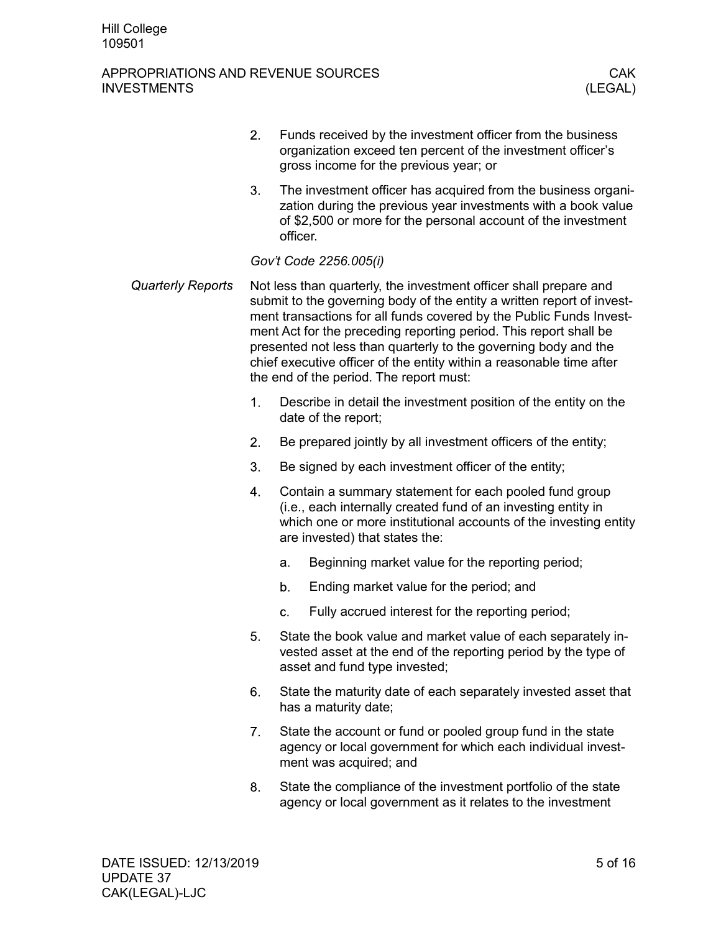#### APPROPRIATIONS AND REVENUE SOURCES AND CONSIDER THE REVENUE SOURCES AND CAK INVESTMENTS (LEGAL)

- $2.$ Funds received by the investment officer from the business organization exceed ten percent of the investment officer's gross income for the previous year; or
- $3<sub>1</sub>$ The investment officer has acquired from the business organization during the previous year investments with a book value of \$2,500 or more for the personal account of the investment officer.

### *Gov't Code 2256.005(i)*

- **Quarterly Reports** Not less than quarterly, the investment officer shall prepare and submit to the governing body of the entity a written report of investment transactions for all funds covered by the Public Funds Investment Act for the preceding reporting period. This report shall be presented not less than quarterly to the governing body and the chief executive officer of the entity within a reasonable time after the end of the period. The report must:
	- $1.$ Describe in detail the investment position of the entity on the date of the report;
	- $2<sub>1</sub>$ Be prepared jointly by all investment officers of the entity;
	- 3. Be signed by each investment officer of the entity;
	- 4. Contain a summary statement for each pooled fund group (i.e., each internally created fund of an investing entity in which one or more institutional accounts of the investing entity are invested) that states the:
		- Beginning market value for the reporting period;  $a<sub>r</sub>$
		- $b_{-}$ Ending market value for the period; and
		- $C<sub>1</sub>$ Fully accrued interest for the reporting period;
	- 5. State the book value and market value of each separately invested asset at the end of the reporting period by the type of asset and fund type invested;
	- 6. State the maturity date of each separately invested asset that has a maturity date;
	- $7.$ State the account or fund or pooled group fund in the state agency or local government for which each individual investment was acquired; and
	- 8. State the compliance of the investment portfolio of the state agency or local government as it relates to the investment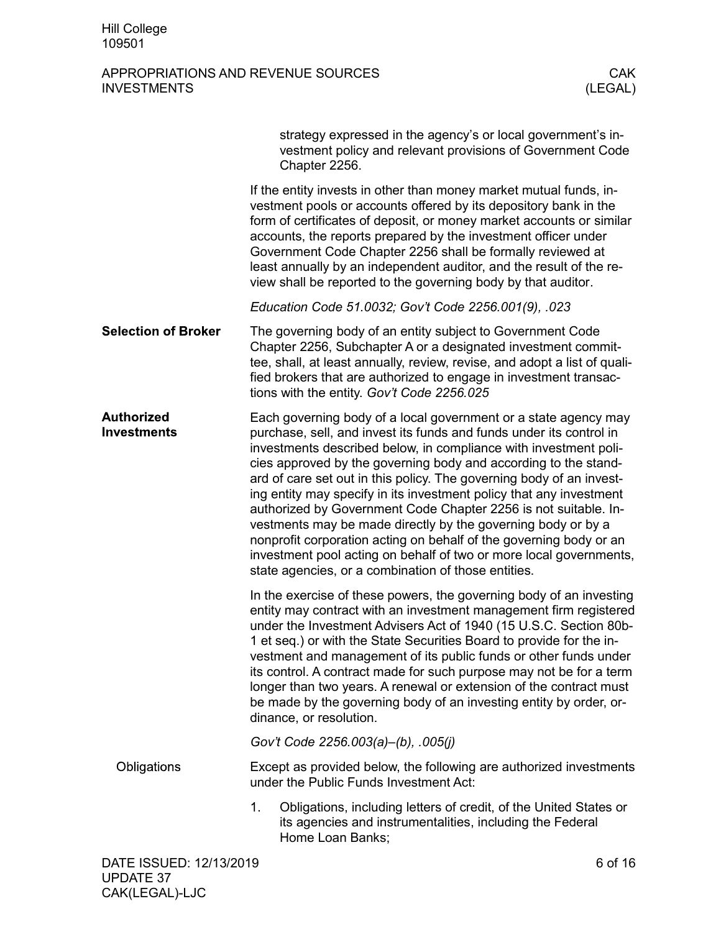|                                         | strategy expressed in the agency's or local government's in-<br>vestment policy and relevant provisions of Government Code<br>Chapter 2256.                                                                                                                                                                                                                                                                                                                                                                                                                                                                                                                                                                                                                        |
|-----------------------------------------|--------------------------------------------------------------------------------------------------------------------------------------------------------------------------------------------------------------------------------------------------------------------------------------------------------------------------------------------------------------------------------------------------------------------------------------------------------------------------------------------------------------------------------------------------------------------------------------------------------------------------------------------------------------------------------------------------------------------------------------------------------------------|
|                                         | If the entity invests in other than money market mutual funds, in-<br>vestment pools or accounts offered by its depository bank in the<br>form of certificates of deposit, or money market accounts or similar<br>accounts, the reports prepared by the investment officer under<br>Government Code Chapter 2256 shall be formally reviewed at<br>least annually by an independent auditor, and the result of the re-<br>view shall be reported to the governing body by that auditor.                                                                                                                                                                                                                                                                             |
|                                         | Education Code 51.0032; Gov't Code 2256.001(9), .023                                                                                                                                                                                                                                                                                                                                                                                                                                                                                                                                                                                                                                                                                                               |
| <b>Selection of Broker</b>              | The governing body of an entity subject to Government Code<br>Chapter 2256, Subchapter A or a designated investment commit-<br>tee, shall, at least annually, review, revise, and adopt a list of quali-<br>fied brokers that are authorized to engage in investment transac-<br>tions with the entity. Gov't Code 2256.025                                                                                                                                                                                                                                                                                                                                                                                                                                        |
| <b>Authorized</b><br><b>Investments</b> | Each governing body of a local government or a state agency may<br>purchase, sell, and invest its funds and funds under its control in<br>investments described below, in compliance with investment poli-<br>cies approved by the governing body and according to the stand-<br>ard of care set out in this policy. The governing body of an invest-<br>ing entity may specify in its investment policy that any investment<br>authorized by Government Code Chapter 2256 is not suitable. In-<br>vestments may be made directly by the governing body or by a<br>nonprofit corporation acting on behalf of the governing body or an<br>investment pool acting on behalf of two or more local governments,<br>state agencies, or a combination of those entities. |
|                                         | In the exercise of these powers, the governing body of an investing<br>entity may contract with an investment management firm registered<br>under the Investment Advisers Act of 1940 (15 U.S.C. Section 80b-<br>1 et seq.) or with the State Securities Board to provide for the in-<br>vestment and management of its public funds or other funds under<br>its control. A contract made for such purpose may not be for a term<br>longer than two years. A renewal or extension of the contract must<br>be made by the governing body of an investing entity by order, or-<br>dinance, or resolution.                                                                                                                                                            |
|                                         | Gov't Code 2256.003(a)–(b), .005(j)                                                                                                                                                                                                                                                                                                                                                                                                                                                                                                                                                                                                                                                                                                                                |
| Obligations                             | Except as provided below, the following are authorized investments<br>under the Public Funds Investment Act:                                                                                                                                                                                                                                                                                                                                                                                                                                                                                                                                                                                                                                                       |
|                                         | 1.<br>Obligations, including letters of credit, of the United States or<br>its agencies and instrumentalities, including the Federal<br>Home Loan Banks;                                                                                                                                                                                                                                                                                                                                                                                                                                                                                                                                                                                                           |
| DATE ISSUED: 12/13/2019                 | 6 of 16                                                                                                                                                                                                                                                                                                                                                                                                                                                                                                                                                                                                                                                                                                                                                            |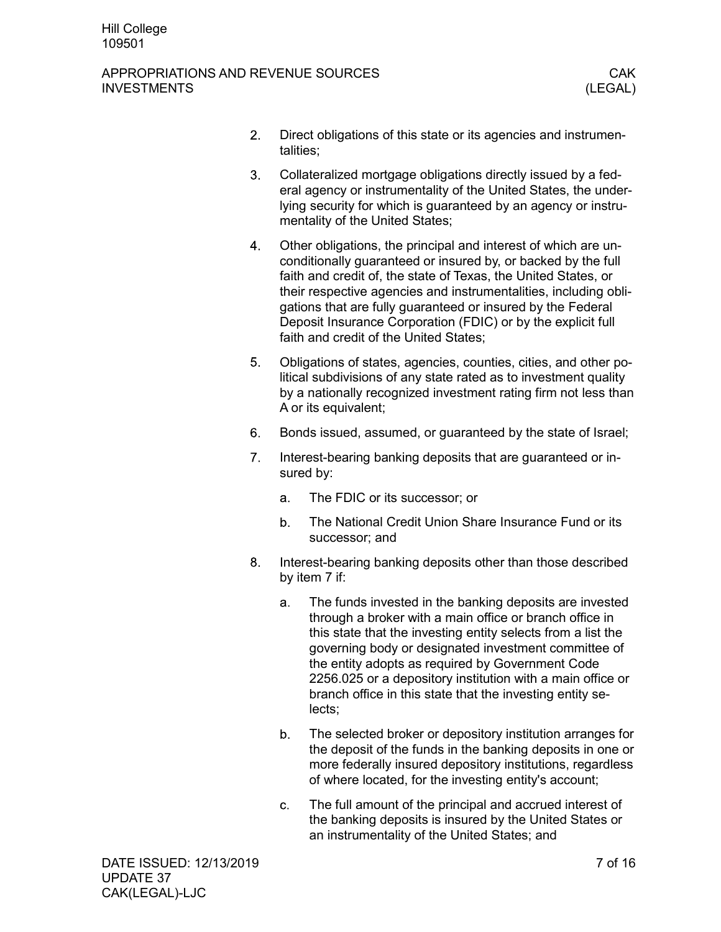#### APPROPRIATIONS AND REVENUE SOURCES AND CONSIDER THE REVENUE SOURCES AND CAK INVESTMENTS (LEGAL)

- $2.$ Direct obligations of this state or its agencies and instrumentalities;
- $3<sub>1</sub>$ Collateralized mortgage obligations directly issued by a federal agency or instrumentality of the United States, the underlying security for which is guaranteed by an agency or instrumentality of the United States;
- Other obligations, the principal and interest of which are un-4. conditionally guaranteed or insured by, or backed by the full faith and credit of, the state of Texas, the United States, or their respective agencies and instrumentalities, including obligations that are fully guaranteed or insured by the Federal Deposit Insurance Corporation (FDIC) or by the explicit full faith and credit of the United States;
- 5. Obligations of states, agencies, counties, cities, and other political subdivisions of any state rated as to investment quality by a nationally recognized investment rating firm not less than A or its equivalent;
- 6. Bonds issued, assumed, or guaranteed by the state of Israel;
- $7.$ Interest-bearing banking deposits that are guaranteed or insured by:
	- a. The FDIC or its successor; or
	- $b<sub>1</sub>$ The National Credit Union Share Insurance Fund or its successor; and
- 8. Interest-bearing banking deposits other than those described by item 7 if:
	- The funds invested in the banking deposits are invested a. through a broker with a main office or branch office in this state that the investing entity selects from a list the governing body or designated investment committee of the entity adopts as required by Government Code 2256.025 or a depository institution with a main office or branch office in this state that the investing entity selects;
	- The selected broker or depository institution arranges for  $b_{-}$ the deposit of the funds in the banking deposits in one or more federally insured depository institutions, regardless of where located, for the investing entity's account;
	- The full amount of the principal and accrued interest of  $\mathbf{C}$ the banking deposits is insured by the United States or an instrumentality of the United States; and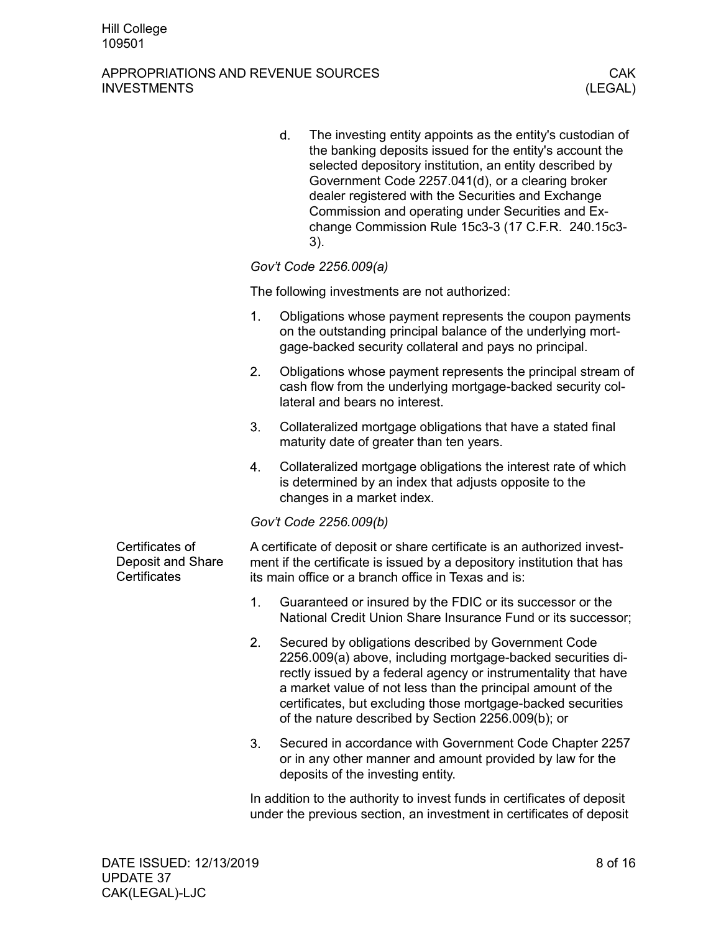### APPROPRIATIONS AND REVENUE SOURCES CAK **INVESTMENTS**

|                                                      |    | d. | The investing entity appoints as the entity's custodian of<br>the banking deposits issued for the entity's account the<br>selected depository institution, an entity described by<br>Government Code 2257.041(d), or a clearing broker<br>dealer registered with the Securities and Exchange<br>Commission and operating under Securities and Ex-<br>change Commission Rule 15c3-3 (17 C.F.R. 240.15c3-<br>3). |
|------------------------------------------------------|----|----|----------------------------------------------------------------------------------------------------------------------------------------------------------------------------------------------------------------------------------------------------------------------------------------------------------------------------------------------------------------------------------------------------------------|
|                                                      |    |    | Gov't Code 2256.009(a)                                                                                                                                                                                                                                                                                                                                                                                         |
|                                                      |    |    | The following investments are not authorized:                                                                                                                                                                                                                                                                                                                                                                  |
|                                                      | 1. |    | Obligations whose payment represents the coupon payments<br>on the outstanding principal balance of the underlying mort-<br>gage-backed security collateral and pays no principal.                                                                                                                                                                                                                             |
|                                                      | 2. |    | Obligations whose payment represents the principal stream of<br>cash flow from the underlying mortgage-backed security col-<br>lateral and bears no interest.                                                                                                                                                                                                                                                  |
|                                                      | 3. |    | Collateralized mortgage obligations that have a stated final<br>maturity date of greater than ten years.                                                                                                                                                                                                                                                                                                       |
|                                                      | 4. |    | Collateralized mortgage obligations the interest rate of which<br>is determined by an index that adjusts opposite to the<br>changes in a market index.                                                                                                                                                                                                                                                         |
|                                                      |    |    | Gov't Code 2256.009(b)                                                                                                                                                                                                                                                                                                                                                                                         |
| Certificates of<br>Deposit and Share<br>Certificates |    |    | A certificate of deposit or share certificate is an authorized invest-<br>ment if the certificate is issued by a depository institution that has<br>its main office or a branch office in Texas and is:                                                                                                                                                                                                        |
|                                                      | 1. |    | Guaranteed or insured by the FDIC or its successor or the<br>National Credit Union Share Insurance Fund or its successor;                                                                                                                                                                                                                                                                                      |
|                                                      | 2. |    | Secured by obligations described by Government Code<br>2256.009(a) above, including mortgage-backed securities di-<br>rectly issued by a federal agency or instrumentality that have<br>a market value of not less than the principal amount of the<br>certificates, but excluding those mortgage-backed securities<br>of the nature described by Section 2256.009(b); or                                      |
|                                                      | 3. |    | Secured in accordance with Government Code Chapter 2257<br>or in any other manner and amount provided by law for the<br>deposits of the investing entity.                                                                                                                                                                                                                                                      |

In addition to the authority to invest funds in certificates of deposit under the previous section, an investment in certificates of deposit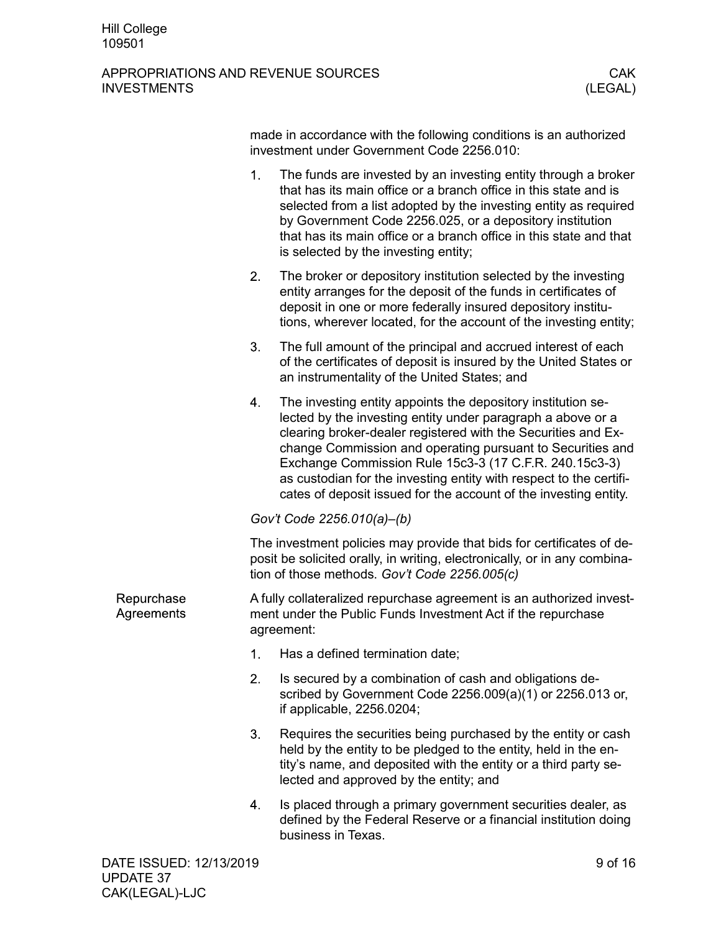|                          | made in accordance with the following conditions is an authorized<br>investment under Government Code 2256.010: |                                                                                                                                                                                                                                                                                                                                                                                                                                                                |         |  |
|--------------------------|-----------------------------------------------------------------------------------------------------------------|----------------------------------------------------------------------------------------------------------------------------------------------------------------------------------------------------------------------------------------------------------------------------------------------------------------------------------------------------------------------------------------------------------------------------------------------------------------|---------|--|
|                          | 1.                                                                                                              | The funds are invested by an investing entity through a broker<br>that has its main office or a branch office in this state and is<br>selected from a list adopted by the investing entity as required<br>by Government Code 2256.025, or a depository institution<br>that has its main office or a branch office in this state and that<br>is selected by the investing entity;                                                                               |         |  |
|                          | 2.                                                                                                              | The broker or depository institution selected by the investing<br>entity arranges for the deposit of the funds in certificates of<br>deposit in one or more federally insured depository institu-<br>tions, wherever located, for the account of the investing entity;                                                                                                                                                                                         |         |  |
|                          | 3.                                                                                                              | The full amount of the principal and accrued interest of each<br>of the certificates of deposit is insured by the United States or<br>an instrumentality of the United States; and                                                                                                                                                                                                                                                                             |         |  |
|                          | 4.                                                                                                              | The investing entity appoints the depository institution se-<br>lected by the investing entity under paragraph a above or a<br>clearing broker-dealer registered with the Securities and Ex-<br>change Commission and operating pursuant to Securities and<br>Exchange Commission Rule 15c3-3 (17 C.F.R. 240.15c3-3)<br>as custodian for the investing entity with respect to the certifi-<br>cates of deposit issued for the account of the investing entity. |         |  |
|                          |                                                                                                                 | Gov't Code 2256.010(a)-(b)                                                                                                                                                                                                                                                                                                                                                                                                                                     |         |  |
|                          |                                                                                                                 | The investment policies may provide that bids for certificates of de-<br>posit be solicited orally, in writing, electronically, or in any combina-<br>tion of those methods. Gov't Code 2256.005(c)                                                                                                                                                                                                                                                            |         |  |
| Repurchase<br>Agreements |                                                                                                                 | A fully collateralized repurchase agreement is an authorized invest-<br>ment under the Public Funds Investment Act if the repurchase<br>agreement:                                                                                                                                                                                                                                                                                                             |         |  |
|                          | 1.                                                                                                              | Has a defined termination date;                                                                                                                                                                                                                                                                                                                                                                                                                                |         |  |
|                          | 2.                                                                                                              | Is secured by a combination of cash and obligations de-<br>scribed by Government Code 2256.009(a)(1) or 2256.013 or,<br>if applicable, 2256.0204;                                                                                                                                                                                                                                                                                                              |         |  |
|                          | 3.                                                                                                              | Requires the securities being purchased by the entity or cash<br>held by the entity to be pledged to the entity, held in the en-<br>tity's name, and deposited with the entity or a third party se-<br>lected and approved by the entity; and                                                                                                                                                                                                                  |         |  |
|                          | 4.                                                                                                              | Is placed through a primary government securities dealer, as<br>defined by the Federal Reserve or a financial institution doing<br>business in Texas.                                                                                                                                                                                                                                                                                                          |         |  |
| DATE ISSUED: 12/13/2019  |                                                                                                                 |                                                                                                                                                                                                                                                                                                                                                                                                                                                                | 9 of 16 |  |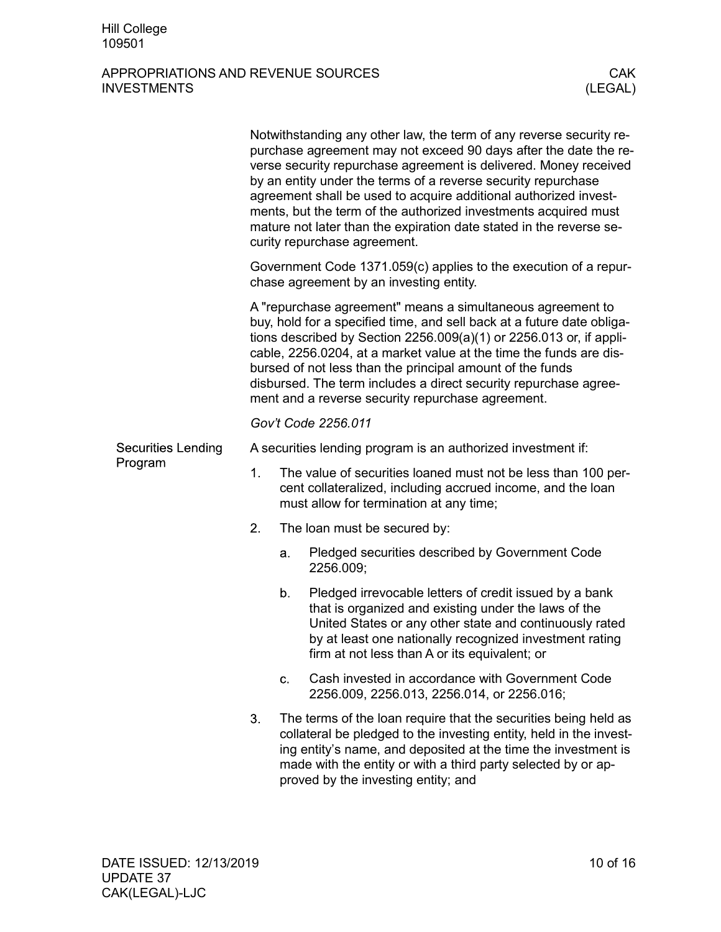|         |                           |                                                                                                                                                                                                                                                                                                                                                                                                                                                                             | Notwithstanding any other law, the term of any reverse security re-<br>purchase agreement may not exceed 90 days after the date the re-<br>verse security repurchase agreement is delivered. Money received<br>by an entity under the terms of a reverse security repurchase<br>agreement shall be used to acquire additional authorized invest-<br>ments, but the term of the authorized investments acquired must<br>mature not later than the expiration date stated in the reverse se-<br>curity repurchase agreement. |  |  |  |  |
|---------|---------------------------|-----------------------------------------------------------------------------------------------------------------------------------------------------------------------------------------------------------------------------------------------------------------------------------------------------------------------------------------------------------------------------------------------------------------------------------------------------------------------------|----------------------------------------------------------------------------------------------------------------------------------------------------------------------------------------------------------------------------------------------------------------------------------------------------------------------------------------------------------------------------------------------------------------------------------------------------------------------------------------------------------------------------|--|--|--|--|
|         |                           | Government Code 1371.059(c) applies to the execution of a repur-<br>chase agreement by an investing entity.                                                                                                                                                                                                                                                                                                                                                                 |                                                                                                                                                                                                                                                                                                                                                                                                                                                                                                                            |  |  |  |  |
|         |                           | A "repurchase agreement" means a simultaneous agreement to<br>buy, hold for a specified time, and sell back at a future date obliga-<br>tions described by Section $2256.009(a)(1)$ or $2256.013$ or, if appli-<br>cable, 2256.0204, at a market value at the time the funds are dis-<br>bursed of not less than the principal amount of the funds<br>disbursed. The term includes a direct security repurchase agree-<br>ment and a reverse security repurchase agreement. |                                                                                                                                                                                                                                                                                                                                                                                                                                                                                                                            |  |  |  |  |
|         |                           |                                                                                                                                                                                                                                                                                                                                                                                                                                                                             | Gov't Code 2256.011                                                                                                                                                                                                                                                                                                                                                                                                                                                                                                        |  |  |  |  |
|         | <b>Securities Lending</b> | A securities lending program is an authorized investment if:                                                                                                                                                                                                                                                                                                                                                                                                                |                                                                                                                                                                                                                                                                                                                                                                                                                                                                                                                            |  |  |  |  |
| Program |                           | 1.                                                                                                                                                                                                                                                                                                                                                                                                                                                                          | The value of securities loaned must not be less than 100 per-<br>cent collateralized, including accrued income, and the loan<br>must allow for termination at any time;                                                                                                                                                                                                                                                                                                                                                    |  |  |  |  |
|         |                           | 2.                                                                                                                                                                                                                                                                                                                                                                                                                                                                          | The loan must be secured by:                                                                                                                                                                                                                                                                                                                                                                                                                                                                                               |  |  |  |  |
|         |                           |                                                                                                                                                                                                                                                                                                                                                                                                                                                                             | Pledged securities described by Government Code<br>a.<br>2256.009;                                                                                                                                                                                                                                                                                                                                                                                                                                                         |  |  |  |  |
|         |                           |                                                                                                                                                                                                                                                                                                                                                                                                                                                                             | Pledged irrevocable letters of credit issued by a bank<br>b.<br>that is organized and existing under the laws of the<br>United States or any other state and continuously rated<br>by at least one nationally recognized investment rating<br>firm at not less than A or its equivalent; or                                                                                                                                                                                                                                |  |  |  |  |
|         |                           |                                                                                                                                                                                                                                                                                                                                                                                                                                                                             | Cash invested in accordance with Government Code<br>c.<br>2256.009, 2256.013, 2256.014, or 2256.016;                                                                                                                                                                                                                                                                                                                                                                                                                       |  |  |  |  |
|         |                           | 3.                                                                                                                                                                                                                                                                                                                                                                                                                                                                          | The terms of the loan require that the securities being held as<br>collateral be pledged to the investing entity, held in the invest-<br>ing entity's name, and deposited at the time the investment is<br>made with the entity or with a third party selected by or ap-<br>proved by the investing entity; and                                                                                                                                                                                                            |  |  |  |  |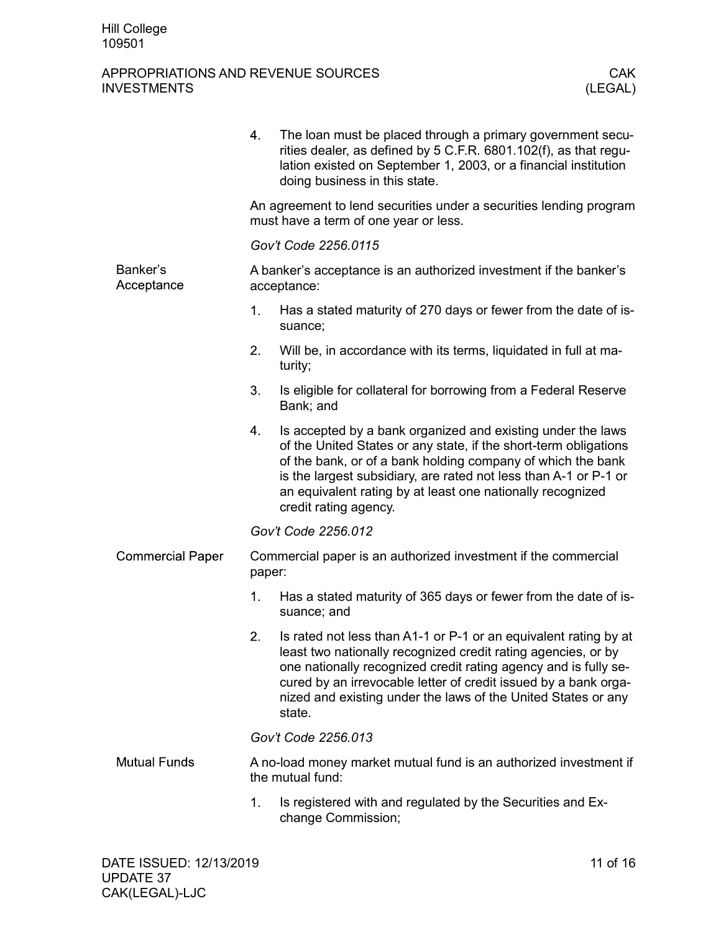|                         | 4.                                                                               | The loan must be placed through a primary government secu-<br>rities dealer, as defined by 5 C.F.R. 6801.102(f), as that regu-<br>lation existed on September 1, 2003, or a financial institution<br>doing business in this state.                                                                                                                        |  |  |
|-------------------------|----------------------------------------------------------------------------------|-----------------------------------------------------------------------------------------------------------------------------------------------------------------------------------------------------------------------------------------------------------------------------------------------------------------------------------------------------------|--|--|
|                         |                                                                                  | An agreement to lend securities under a securities lending program<br>must have a term of one year or less.                                                                                                                                                                                                                                               |  |  |
|                         | Gov't Code 2256.0115                                                             |                                                                                                                                                                                                                                                                                                                                                           |  |  |
| Banker's<br>Acceptance  | A banker's acceptance is an authorized investment if the banker's<br>acceptance: |                                                                                                                                                                                                                                                                                                                                                           |  |  |
|                         | 1.                                                                               | Has a stated maturity of 270 days or fewer from the date of is-<br>suance;                                                                                                                                                                                                                                                                                |  |  |
|                         | 2.                                                                               | Will be, in accordance with its terms, liquidated in full at ma-<br>turity;                                                                                                                                                                                                                                                                               |  |  |
|                         | 3.                                                                               | Is eligible for collateral for borrowing from a Federal Reserve<br>Bank; and                                                                                                                                                                                                                                                                              |  |  |
|                         | 4.                                                                               | Is accepted by a bank organized and existing under the laws<br>of the United States or any state, if the short-term obligations<br>of the bank, or of a bank holding company of which the bank<br>is the largest subsidiary, are rated not less than A-1 or P-1 or<br>an equivalent rating by at least one nationally recognized<br>credit rating agency. |  |  |
|                         |                                                                                  | Gov't Code 2256.012                                                                                                                                                                                                                                                                                                                                       |  |  |
| <b>Commercial Paper</b> | Commercial paper is an authorized investment if the commercial<br>paper:         |                                                                                                                                                                                                                                                                                                                                                           |  |  |
|                         | 1.                                                                               | Has a stated maturity of 365 days or fewer from the date of is-<br>suance; and                                                                                                                                                                                                                                                                            |  |  |
|                         | 2.                                                                               | Is rated not less than A1-1 or P-1 or an equivalent rating by at<br>least two nationally recognized credit rating agencies, or by<br>one nationally recognized credit rating agency and is fully se-<br>cured by an irrevocable letter of credit issued by a bank orga-<br>nized and existing under the laws of the United States or any<br>state.        |  |  |
|                         |                                                                                  | Gov't Code 2256.013                                                                                                                                                                                                                                                                                                                                       |  |  |
| <b>Mutual Funds</b>     |                                                                                  | A no-load money market mutual fund is an authorized investment if<br>the mutual fund:                                                                                                                                                                                                                                                                     |  |  |
|                         | 1.                                                                               | Is registered with and regulated by the Securities and Ex-<br>change Commission;                                                                                                                                                                                                                                                                          |  |  |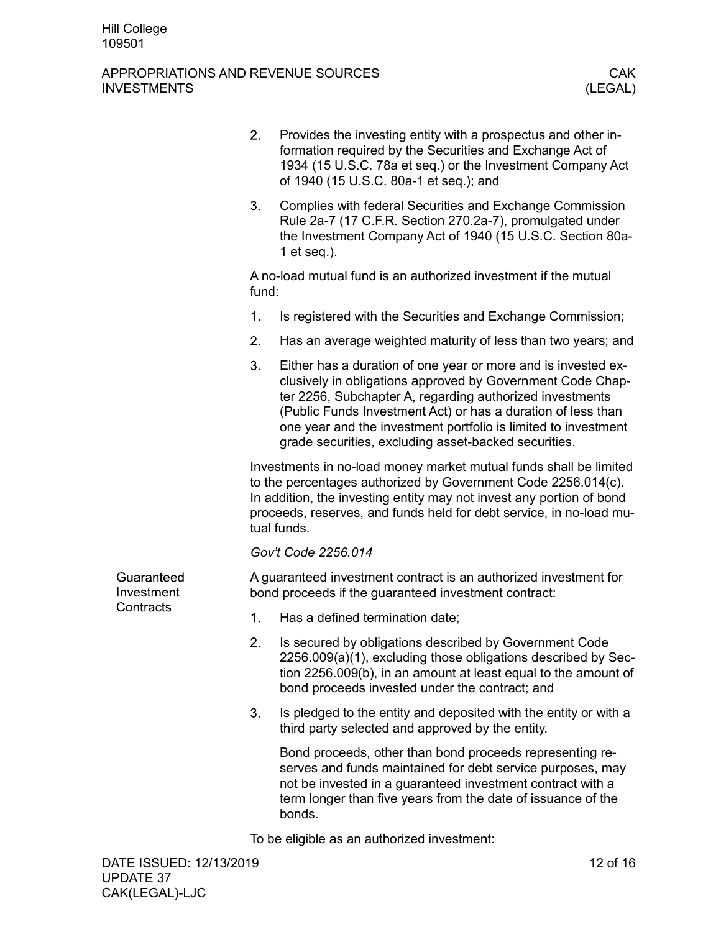|                          | 2.                                                                                                                                                                                                                                                                                               | Provides the investing entity with a prospectus and other in-<br>formation required by the Securities and Exchange Act of<br>1934 (15 U.S.C. 78a et seq.) or the Investment Company Act<br>of 1940 (15 U.S.C. 80a-1 et seq.); and                                                                                                                                                 |  |  |
|--------------------------|--------------------------------------------------------------------------------------------------------------------------------------------------------------------------------------------------------------------------------------------------------------------------------------------------|-----------------------------------------------------------------------------------------------------------------------------------------------------------------------------------------------------------------------------------------------------------------------------------------------------------------------------------------------------------------------------------|--|--|
|                          | 3.                                                                                                                                                                                                                                                                                               | Complies with federal Securities and Exchange Commission<br>Rule 2a-7 (17 C.F.R. Section 270.2a-7), promulgated under<br>the Investment Company Act of 1940 (15 U.S.C. Section 80a-<br>1 et seq.).                                                                                                                                                                                |  |  |
|                          | A no-load mutual fund is an authorized investment if the mutual<br>fund:                                                                                                                                                                                                                         |                                                                                                                                                                                                                                                                                                                                                                                   |  |  |
|                          | 1.                                                                                                                                                                                                                                                                                               | Is registered with the Securities and Exchange Commission;                                                                                                                                                                                                                                                                                                                        |  |  |
|                          | 2.                                                                                                                                                                                                                                                                                               | Has an average weighted maturity of less than two years; and                                                                                                                                                                                                                                                                                                                      |  |  |
|                          | 3.                                                                                                                                                                                                                                                                                               | Either has a duration of one year or more and is invested ex-<br>clusively in obligations approved by Government Code Chap-<br>ter 2256, Subchapter A, regarding authorized investments<br>(Public Funds Investment Act) or has a duration of less than<br>one year and the investment portfolio is limited to investment<br>grade securities, excluding asset-backed securities. |  |  |
|                          | Investments in no-load money market mutual funds shall be limited<br>to the percentages authorized by Government Code 2256.014(c).<br>In addition, the investing entity may not invest any portion of bond<br>proceeds, reserves, and funds held for debt service, in no-load mu-<br>tual funds. |                                                                                                                                                                                                                                                                                                                                                                                   |  |  |
|                          |                                                                                                                                                                                                                                                                                                  | Gov't Code 2256.014                                                                                                                                                                                                                                                                                                                                                               |  |  |
| Guaranteed<br>Investment |                                                                                                                                                                                                                                                                                                  | A guaranteed investment contract is an authorized investment for<br>bond proceeds if the guaranteed investment contract:                                                                                                                                                                                                                                                          |  |  |
| Contracts                | 1.                                                                                                                                                                                                                                                                                               | Has a defined termination date;                                                                                                                                                                                                                                                                                                                                                   |  |  |
|                          | 2.                                                                                                                                                                                                                                                                                               | Is secured by obligations described by Government Code<br>2256.009(a)(1), excluding those obligations described by Sec-<br>tion 2256.009(b), in an amount at least equal to the amount of<br>bond proceeds invested under the contract; and                                                                                                                                       |  |  |
|                          | 3.                                                                                                                                                                                                                                                                                               | Is pledged to the entity and deposited with the entity or with a<br>third party selected and approved by the entity.                                                                                                                                                                                                                                                              |  |  |
|                          |                                                                                                                                                                                                                                                                                                  | Bond proceeds, other than bond proceeds representing re-<br>serves and funds maintained for debt service purposes, may<br>not be invested in a guaranteed investment contract with a<br>term longer than five years from the date of issuance of the<br>bonds.                                                                                                                    |  |  |
|                          |                                                                                                                                                                                                                                                                                                  | To be eligible as an authorized investment:                                                                                                                                                                                                                                                                                                                                       |  |  |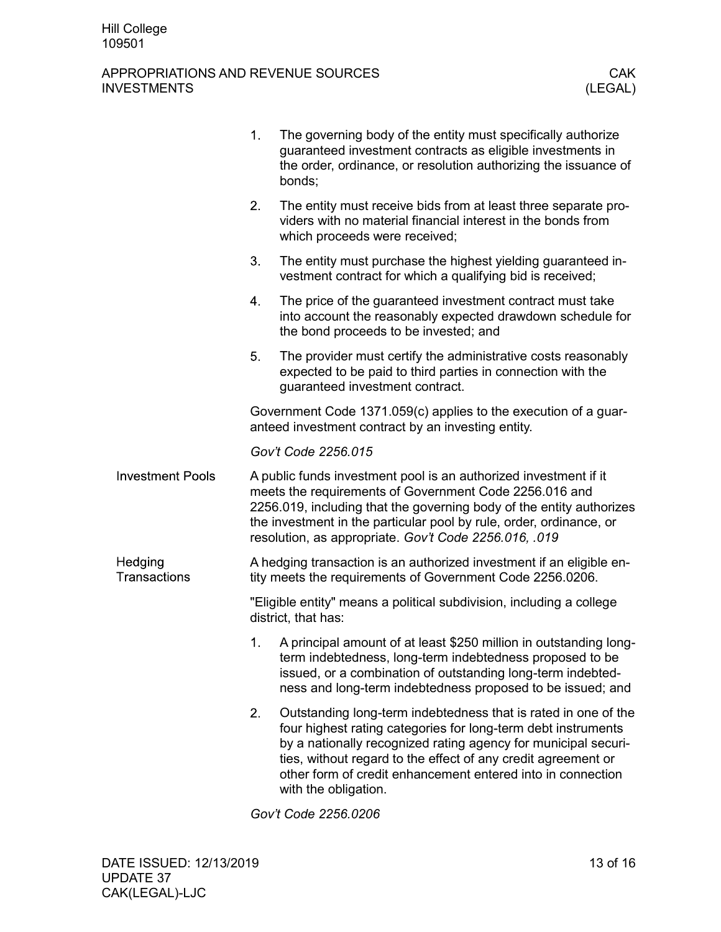|                         | 1. | The governing body of the entity must specifically authorize<br>guaranteed investment contracts as eligible investments in<br>the order, ordinance, or resolution authorizing the issuance of<br>bonds;                                                                                                                                                   |
|-------------------------|----|-----------------------------------------------------------------------------------------------------------------------------------------------------------------------------------------------------------------------------------------------------------------------------------------------------------------------------------------------------------|
|                         | 2. | The entity must receive bids from at least three separate pro-<br>viders with no material financial interest in the bonds from<br>which proceeds were received;                                                                                                                                                                                           |
|                         | 3. | The entity must purchase the highest yielding guaranteed in-<br>vestment contract for which a qualifying bid is received;                                                                                                                                                                                                                                 |
|                         | 4. | The price of the guaranteed investment contract must take<br>into account the reasonably expected drawdown schedule for<br>the bond proceeds to be invested; and                                                                                                                                                                                          |
|                         | 5. | The provider must certify the administrative costs reasonably<br>expected to be paid to third parties in connection with the<br>guaranteed investment contract.                                                                                                                                                                                           |
|                         |    | Government Code 1371.059(c) applies to the execution of a guar-<br>anteed investment contract by an investing entity.                                                                                                                                                                                                                                     |
|                         |    | Gov't Code 2256.015                                                                                                                                                                                                                                                                                                                                       |
| <b>Investment Pools</b> |    | A public funds investment pool is an authorized investment if it<br>meets the requirements of Government Code 2256.016 and<br>2256.019, including that the governing body of the entity authorizes<br>the investment in the particular pool by rule, order, ordinance, or<br>resolution, as appropriate. Gov't Code 2256.016, .019                        |
| Hedging<br>Transactions |    | A hedging transaction is an authorized investment if an eligible en-<br>tity meets the requirements of Government Code 2256.0206.                                                                                                                                                                                                                         |
|                         |    | "Eligible entity" means a political subdivision, including a college<br>district, that has:                                                                                                                                                                                                                                                               |
|                         | 1. | A principal amount of at least \$250 million in outstanding long-<br>term indebtedness, long-term indebtedness proposed to be<br>issued, or a combination of outstanding long-term indebted-<br>ness and long-term indebtedness proposed to be issued; and                                                                                                |
|                         | 2. | Outstanding long-term indebtedness that is rated in one of the<br>four highest rating categories for long-term debt instruments<br>by a nationally recognized rating agency for municipal securi-<br>ties, without regard to the effect of any credit agreement or<br>other form of credit enhancement entered into in connection<br>with the obligation. |
|                         |    | $\sim$ $\mu$ Cade 2256 2206                                                                                                                                                                                                                                                                                                                               |

*Gov't Code 2256.0206*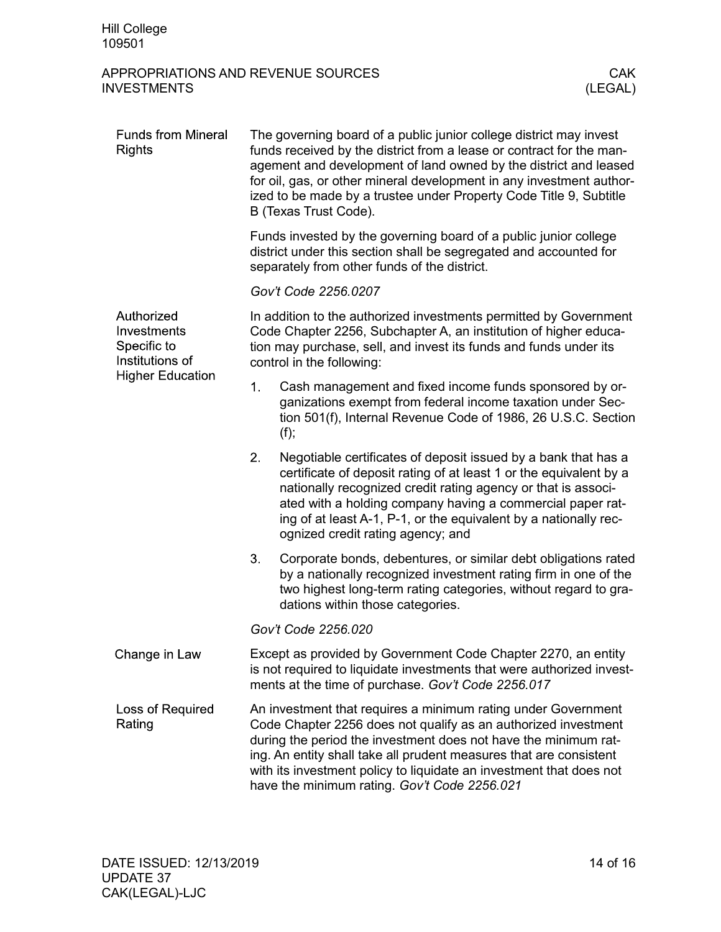| <b>Funds from Mineral</b><br><b>Rights</b>                                             | The governing board of a public junior college district may invest<br>funds received by the district from a lease or contract for the man-<br>agement and development of land owned by the district and leased<br>for oil, gas, or other mineral development in any investment author-<br>ized to be made by a trustee under Property Code Title 9, Subtitle<br>B (Texas Trust Code). |                                                                                                                                                                                                                                                                                                                                                                                                 |  |  |  |
|----------------------------------------------------------------------------------------|---------------------------------------------------------------------------------------------------------------------------------------------------------------------------------------------------------------------------------------------------------------------------------------------------------------------------------------------------------------------------------------|-------------------------------------------------------------------------------------------------------------------------------------------------------------------------------------------------------------------------------------------------------------------------------------------------------------------------------------------------------------------------------------------------|--|--|--|
|                                                                                        | Funds invested by the governing board of a public junior college<br>district under this section shall be segregated and accounted for<br>separately from other funds of the district.                                                                                                                                                                                                 |                                                                                                                                                                                                                                                                                                                                                                                                 |  |  |  |
|                                                                                        | Gov't Code 2256.0207                                                                                                                                                                                                                                                                                                                                                                  |                                                                                                                                                                                                                                                                                                                                                                                                 |  |  |  |
| Authorized<br>Investments<br>Specific to<br>Institutions of<br><b>Higher Education</b> | In addition to the authorized investments permitted by Government<br>Code Chapter 2256, Subchapter A, an institution of higher educa-<br>tion may purchase, sell, and invest its funds and funds under its<br>control in the following:                                                                                                                                               |                                                                                                                                                                                                                                                                                                                                                                                                 |  |  |  |
|                                                                                        | 1.                                                                                                                                                                                                                                                                                                                                                                                    | Cash management and fixed income funds sponsored by or-<br>ganizations exempt from federal income taxation under Sec-<br>tion 501(f), Internal Revenue Code of 1986, 26 U.S.C. Section<br>(f);                                                                                                                                                                                                  |  |  |  |
|                                                                                        | 2.                                                                                                                                                                                                                                                                                                                                                                                    | Negotiable certificates of deposit issued by a bank that has a<br>certificate of deposit rating of at least 1 or the equivalent by a<br>nationally recognized credit rating agency or that is associ-<br>ated with a holding company having a commercial paper rat-<br>ing of at least A-1, P-1, or the equivalent by a nationally rec-<br>ognized credit rating agency; and                    |  |  |  |
|                                                                                        | 3.                                                                                                                                                                                                                                                                                                                                                                                    | Corporate bonds, debentures, or similar debt obligations rated<br>by a nationally recognized investment rating firm in one of the<br>two highest long-term rating categories, without regard to gra-<br>dations within those categories.                                                                                                                                                        |  |  |  |
|                                                                                        | Gov't Code 2256.020                                                                                                                                                                                                                                                                                                                                                                   |                                                                                                                                                                                                                                                                                                                                                                                                 |  |  |  |
| Change in Law                                                                          |                                                                                                                                                                                                                                                                                                                                                                                       | Except as provided by Government Code Chapter 2270, an entity<br>is not required to liquidate investments that were authorized invest-<br>ments at the time of purchase. Gov't Code 2256.017                                                                                                                                                                                                    |  |  |  |
| Loss of Required<br>Rating                                                             |                                                                                                                                                                                                                                                                                                                                                                                       | An investment that requires a minimum rating under Government<br>Code Chapter 2256 does not qualify as an authorized investment<br>during the period the investment does not have the minimum rat-<br>ing. An entity shall take all prudent measures that are consistent<br>with its investment policy to liquidate an investment that does not<br>have the minimum rating. Gov't Code 2256.021 |  |  |  |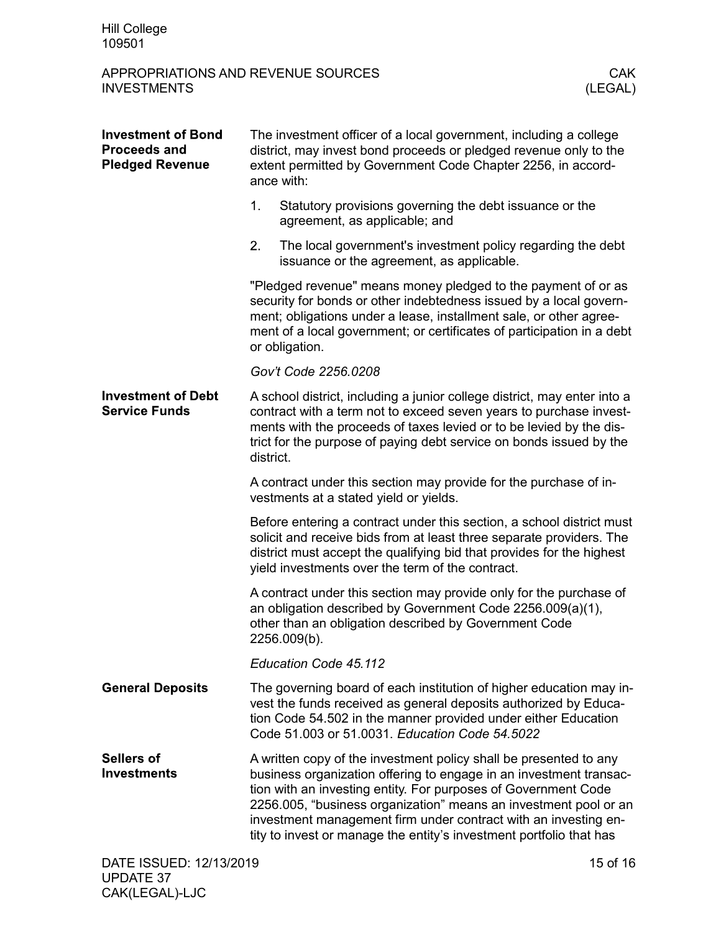| <b>Investment of Bond</b><br><b>Proceeds and</b><br><b>Pledged Revenue</b> | The investment officer of a local government, including a college<br>district, may invest bond proceeds or pledged revenue only to the<br>extent permitted by Government Code Chapter 2256, in accord-<br>ance with: |                                                                                                                                                                                                                                                                                                                                                                                                                         |  |  |
|----------------------------------------------------------------------------|----------------------------------------------------------------------------------------------------------------------------------------------------------------------------------------------------------------------|-------------------------------------------------------------------------------------------------------------------------------------------------------------------------------------------------------------------------------------------------------------------------------------------------------------------------------------------------------------------------------------------------------------------------|--|--|
|                                                                            | 1.                                                                                                                                                                                                                   | Statutory provisions governing the debt issuance or the<br>agreement, as applicable; and                                                                                                                                                                                                                                                                                                                                |  |  |
|                                                                            | 2.                                                                                                                                                                                                                   | The local government's investment policy regarding the debt<br>issuance or the agreement, as applicable.                                                                                                                                                                                                                                                                                                                |  |  |
|                                                                            |                                                                                                                                                                                                                      | "Pledged revenue" means money pledged to the payment of or as<br>security for bonds or other indebtedness issued by a local govern-<br>ment; obligations under a lease, installment sale, or other agree-<br>ment of a local government; or certificates of participation in a debt<br>or obligation.                                                                                                                   |  |  |
|                                                                            |                                                                                                                                                                                                                      | Gov't Code 2256.0208                                                                                                                                                                                                                                                                                                                                                                                                    |  |  |
| <b>Investment of Debt</b><br><b>Service Funds</b>                          | district.                                                                                                                                                                                                            | A school district, including a junior college district, may enter into a<br>contract with a term not to exceed seven years to purchase invest-<br>ments with the proceeds of taxes levied or to be levied by the dis-<br>trict for the purpose of paying debt service on bonds issued by the                                                                                                                            |  |  |
|                                                                            |                                                                                                                                                                                                                      | A contract under this section may provide for the purchase of in-<br>vestments at a stated yield or yields.                                                                                                                                                                                                                                                                                                             |  |  |
|                                                                            |                                                                                                                                                                                                                      | Before entering a contract under this section, a school district must<br>solicit and receive bids from at least three separate providers. The<br>district must accept the qualifying bid that provides for the highest<br>yield investments over the term of the contract.                                                                                                                                              |  |  |
|                                                                            |                                                                                                                                                                                                                      | A contract under this section may provide only for the purchase of<br>an obligation described by Government Code 2256.009(a)(1),<br>other than an obligation described by Government Code<br>2256.009(b).                                                                                                                                                                                                               |  |  |
|                                                                            |                                                                                                                                                                                                                      | Education Code 45.112                                                                                                                                                                                                                                                                                                                                                                                                   |  |  |
| <b>General Deposits</b>                                                    |                                                                                                                                                                                                                      | The governing board of each institution of higher education may in-<br>vest the funds received as general deposits authorized by Educa-<br>tion Code 54.502 in the manner provided under either Education<br>Code 51.003 or 51.0031. Education Code 54.5022                                                                                                                                                             |  |  |
| <b>Sellers of</b><br><b>Investments</b>                                    |                                                                                                                                                                                                                      | A written copy of the investment policy shall be presented to any<br>business organization offering to engage in an investment transac-<br>tion with an investing entity. For purposes of Government Code<br>2256.005, "business organization" means an investment pool or an<br>investment management firm under contract with an investing en-<br>tity to invest or manage the entity's investment portfolio that has |  |  |